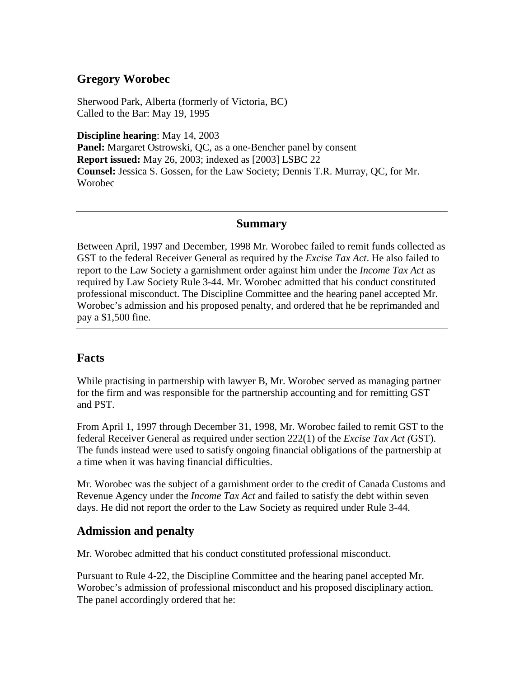## **Gregory Worobec**

Sherwood Park, Alberta (formerly of Victoria, BC) Called to the Bar: May 19, 1995

**Discipline hearing**: May 14, 2003 **Panel:** Margaret Ostrowski, QC, as a one-Bencher panel by consent **Report issued:** May 26, 2003; indexed as [2003] LSBC 22 **Counsel:** Jessica S. Gossen, for the Law Society; Dennis T.R. Murray, QC, for Mr. Worobec

## **Summary**

Between April, 1997 and December, 1998 Mr. Worobec failed to remit funds collected as GST to the federal Receiver General as required by the *Excise Tax Act*. He also failed to report to the Law Society a garnishment order against him under the *Income Tax Act* as required by Law Society Rule 3-44. Mr. Worobec admitted that his conduct constituted professional misconduct. The Discipline Committee and the hearing panel accepted Mr. Worobec's admission and his proposed penalty, and ordered that he be reprimanded and pay a \$1,500 fine.

## **Facts**

While practising in partnership with lawyer B, Mr. Worobec served as managing partner for the firm and was responsible for the partnership accounting and for remitting GST and PST.

From April 1, 1997 through December 31, 1998, Mr. Worobec failed to remit GST to the federal Receiver General as required under section 222(1) of the *Excise Tax Act (*GST). The funds instead were used to satisfy ongoing financial obligations of the partnership at a time when it was having financial difficulties.

Mr. Worobec was the subject of a garnishment order to the credit of Canada Customs and Revenue Agency under the *Income Tax Act* and failed to satisfy the debt within seven days. He did not report the order to the Law Society as required under Rule 3-44.

## **Admission and penalty**

Mr. Worobec admitted that his conduct constituted professional misconduct.

Pursuant to Rule 4-22, the Discipline Committee and the hearing panel accepted Mr. Worobec's admission of professional misconduct and his proposed disciplinary action. The panel accordingly ordered that he: